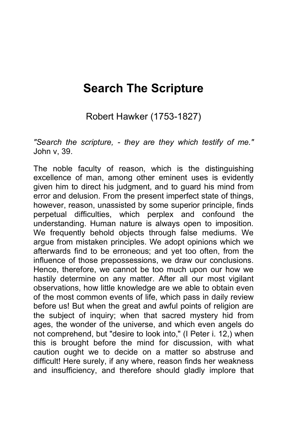## **Search The Scripture**

Robert Hawker (1753-1827)

*"Search the scripture, - they are they which testify of me."* John v, 39.

The noble faculty of reason, which is the distinguishing excellence of man, among other eminent uses is evidently given him to direct his judgment, and to guard his mind from error and delusion. From the present imperfect state of things, however, reason, unassisted by some superior principle, finds perpetual difficulties, which perplex and confound the understanding. Human nature is always open to imposition. We frequently behold objects through false mediums. We argue from mistaken principles. We adopt opinions which we afterwards find to be erroneous; and yet too often, from the influence of those prepossessions, we draw our conclusions. Hence, therefore, we cannot be too much upon our how we hastily determine on any matter. After all our most vigilant observations, how little knowledge are we able to obtain even of the most common events of life, which pass in daily review before us! But when the great and awful points of religion are the subject of inquiry; when that sacred mystery hid from ages, the wonder of the universe, and which even angels do not comprehend, but "desire to look into," (I Peter i. 12,) when this is brought before the mind for discussion, with what caution ought we to decide on a matter so abstruse and difficult! Here surely, if any where, reason finds her weakness and insufficiency, and therefore should gladly implore that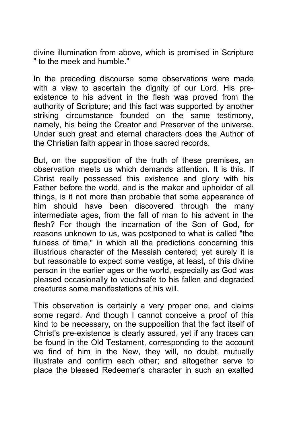divine illumination from above, which is promised in Scripture " to the meek and humble."

In the preceding discourse some observations were made with a view to ascertain the dignity of our Lord. His preexistence to his advent in the flesh was proved from the authority of Scripture; and this fact was supported by another striking circumstance founded on the same testimony, namely, his being the Creator and Preserver of the universe. Under such great and eternal characters does the Author of the Christian faith appear in those sacred records.

But, on the supposition of the truth of these premises, an observation meets us which demands attention. It is this. If Christ really possessed this existence and glory with his Father before the world, and is the maker and upholder of all things, is it not more than probable that some appearance of him should have been discovered through the many intermediate ages, from the fall of man to his advent in the flesh? For though the incarnation of the Son of God, for reasons unknown to us, was postponed to what is called "the fulness of time," in which all the predictions concerning this illustrious character of the Messiah centered; yet surely it is but reasonable to expect some vestige, at least, of this divine person in the earlier ages or the world, especially as God was pleased occasionally to vouchsafe to his fallen and degraded creatures some manifestations of his will.

This observation is certainly a very proper one, and claims some regard. And though I cannot conceive a proof of this kind to be necessary, on the supposition that the fact itself of Christ's pre-existence is clearly assured, yet if any traces can be found in the Old Testament, corresponding to the account we find of him in the New, they will, no doubt, mutually illustrate and confirm each other; and altogether serve to place the blessed Redeemer's character in such an exalted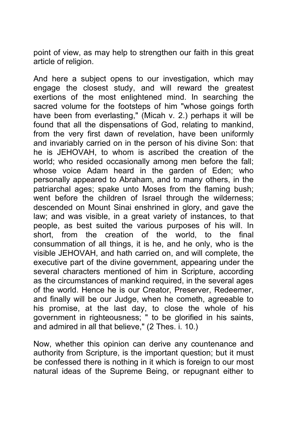point of view, as may help to strengthen our faith in this great article of religion.

And here a subject opens to our investigation, which may engage the closest study, and will reward the greatest exertions of the most enlightened mind. In searching the sacred volume for the footsteps of him "whose goings forth have been from everlasting," (Micah v. 2.) perhaps it will be found that all the dispensations of God, relating to mankind, from the very first dawn of revelation, have been uniformly and invariably carried on in the person of his divine Son: that he is JEHOVAH, to whom is ascribed the creation of the world; who resided occasionally among men before the fall; whose voice Adam heard in the garden of Eden; who personally appeared to Abraham, and to many others, in the patriarchal ages; spake unto Moses from the flaming bush; went before the children of Israel through the wilderness; descended on Mount Sinai enshrined in glory, and gave the law; and was visible, in a great variety of instances, to that people, as best suited the various purposes of his will. In short, from the creation of the world, to the final consummation of all things, it is he, and he only, who is the visible JEHOVAH, and hath carried on, and will complete, the executive part of the divine government, appearing under the several characters mentioned of him in Scripture, according as the circumstances of mankind required, in the several ages of the world. Hence he is our Creator, Preserver, Redeemer, and finally will be our Judge, when he cometh, agreeable to his promise, at the last day, to close the whole of his government in righteousness; " to be glorified in his saints, and admired in all that believe," (2 Thes. i. 10.)

Now, whether this opinion can derive any countenance and authority from Scripture, is the important question; but it must be confessed there is nothing in it which is foreign to our most natural ideas of the Supreme Being, or repugnant either to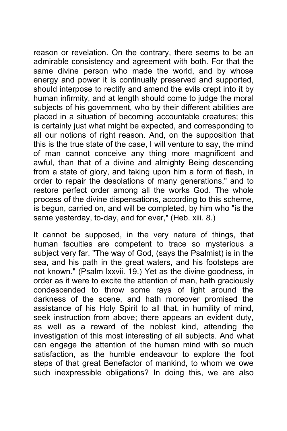reason or revelation. On the contrary, there seems to be an admirable consistency and agreement with both. For that the same divine person who made the world, and by whose energy and power it is continually preserved and supported, should interpose to rectify and amend the evils crept into it by human infirmity, and at length should come to judge the moral subjects of his government, who by their different abilities are placed in a situation of becoming accountable creatures; this is certainly just what might be expected, and corresponding to all our notions of right reason. And, on the supposition that this is the true state of the case, I will venture to say, the mind of man cannot conceive any thing more magnificent and awful, than that of a divine and almighty Being descending from a state of glory, and taking upon him a form of flesh, in order to repair the desolations of many generations," and to restore perfect order among all the works God. The whole process of the divine dispensations, according to this scheme, is begun, carried on, and will be completed, by him who "is the same yesterday, to-day, and for ever," (Heb. xiii. 8.)

It cannot be supposed, in the very nature of things, that human faculties are competent to trace so mysterious a subject very far. "The way of God, (says the Psalmist) is in the sea, and his path in the great waters, and his footsteps are not known." (Psalm lxxvii. 19.) Yet as the divine goodness, in order as it were to excite the attention of man, hath graciously condescended to throw some rays of light around the darkness of the scene, and hath moreover promised the assistance of his Holy Spirit to all that, in humility of mind, seek instruction from above; there appears an evident duty, as well as a reward of the noblest kind, attending the investigation of this most interesting of all subjects. And what can engage the attention of the human mind with so much satisfaction, as the humble endeavour to explore the foot steps of that great Benefactor of mankind, to whom we owe such inexpressible obligations? In doing this, we are also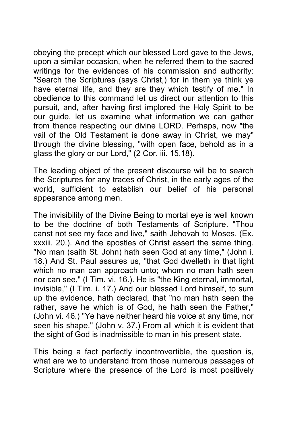obeying the precept which our blessed Lord gave to the Jews, upon a similar occasion, when he referred them to the sacred writings for the evidences of his commission and authority: "Search the Scriptures (says Christ,) for in them ye think ye have eternal life, and they are they which testify of me." In obedience to this command let us direct our attention to this pursuit, and, after having first implored the Holy Spirit to be our guide, let us examine what information we can gather from thence respecting our divine LORD. Perhaps, now "the vail of the Old Testament is done away in Christ, we may" through the divine blessing, "with open face, behold as in a glass the glory or our Lord," (2 Cor. iii. 15,18).

The leading object of the present discourse will be to search the Scriptures for any traces of Christ, in the early ages of the world, sufficient to establish our belief of his personal appearance among men.

The invisibility of the Divine Being to mortal eye is well known to be the doctrine of both Testaments of Scripture. "Thou canst not see my face and live," saith Jehovah to Moses. (Ex. xxxiii. 20.). And the apostles of Christ assert the same thing. "No man (saith St. John) hath seen God at any time," (John i. 18.) And St. Paul assures us, "that God dwelleth in that light which no man can approach unto; whom no man hath seen nor can see," (I Tim. vi. 16.). He is "the King eternal, immortal, invisible," (I Tim. i. 17.) And our blessed Lord himself, to sum up the evidence, hath declared, that "no man hath seen the rather, save he which is of God, he hath seen the Father," (John vi. 46.) "Ye have neither heard his voice at any time, nor seen his shape," (John v. 37.) From all which it is evident that the sight of God is inadmissible to man in his present state.

This being a fact perfectly incontrovertible, the question is, what are we to understand from those numerous passages of Scripture where the presence of the Lord is most positively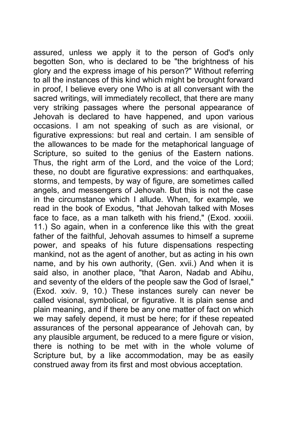assured, unless we apply it to the person of God's only begotten Son, who is declared to be "the brightness of his glory and the express image of his person?" Without referring to all the instances of this kind which might be brought forward in proof, I believe every one Who is at all conversant with the sacred writings, will immediately recollect, that there are many very striking passages where the personal appearance of Jehovah is declared to have happened, and upon various occasions. I am not speaking of such as are visional, or figurative expressions: but real and certain. I am sensible of the allowances to be made for the metaphorical language of Scripture, so suited to the genius of the Eastern nations. Thus, the right arm of the Lord, and the voice of the Lord; these, no doubt are figurative expressions: and earthquakes, storms, and tempests, by way of figure, are sometimes called angels, and messengers of Jehovah. But this is not the case in the circumstance which I allude. When, for example, we read in the book of Exodus, "that Jehovah talked with Moses face to face, as a man talketh with his friend," (Exod. xxxiii. 11.) So again, when in a conference like this with the great father of the faithful, Jehovah assumes to himself a supreme power, and speaks of his future dispensations respecting mankind, not as the agent of another, but as acting in his own name, and by his own authority, (Gen. xvii.) And when it is said also, in another place, "that Aaron, Nadab and Abihu, and seventy of the elders of the people saw the God of Israel," (Exod. xxiv. 9, 10.) These instances surely can never be called visional, symbolical, or figurative. It is plain sense and plain meaning, and if there be any one matter of fact on which we may safely depend, it must be here; for if these repeated assurances of the personal appearance of Jehovah can, by any plausible argument, be reduced to a mere figure or vision, there is nothing to be met with in the whole volume of Scripture but, by a like accommodation, may be as easily construed away from its first and most obvious acceptation.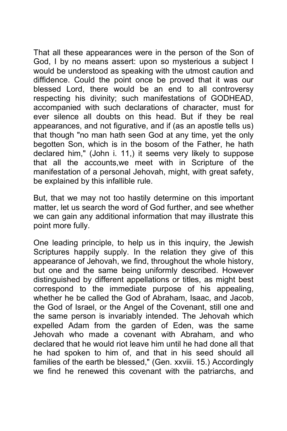That all these appearances were in the person of the Son of God, I by no means assert: upon so mysterious a subject I would be understood as speaking with the utmost caution and diffidence. Could the point once be proved that it was our blessed Lord, there would be an end to all controversy respecting his divinity; such manifestations of GODHEAD, accompanied with such declarations of character, must for ever silence all doubts on this head. But if they be real appearances, and not figurative, and if (as an apostle tells us) that though "no man hath seen God at any time, yet the only begotten Son, which is in the bosom of the Father, he hath declared him," (John i. 11,) it seems very likely to suppose that all the accounts,we meet with in Scripture of the manifestation of a personal Jehovah, might, with great safety, be explained by this infallible rule.

But, that we may not too hastily determine on this important matter, let us search the word of God further, and see whether we can gain any additional information that may illustrate this point more fully.

One leading principle, to help us in this inquiry, the Jewish Scriptures happily supply. In the relation they give of this appearance of Jehovah, we find, throughout the whole history, but one and the same being uniformly described. However distinguished by different appellations or titles, as might best correspond to the immediate purpose of his appealing, whether he be called the God of Abraham, Isaac, and Jacob, the God of Israel, or the Angel of the Covenant, still one and the same person is invariably intended. The Jehovah which expelled Adam from the garden of Eden, was the same Jehovah who made a covenant with Abraham, and who declared that he would riot leave him until he had done all that he had spoken to him of, and that in his seed should all families of the earth be blessed," (Gen. xxviii. 15.) Accordingly we find he renewed this covenant with the patriarchs, and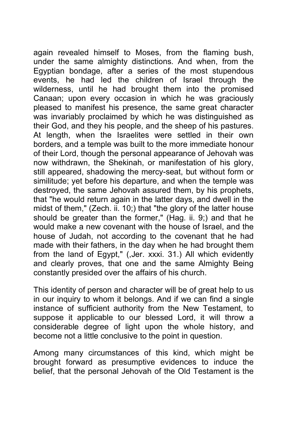again revealed himself to Moses, from the flaming bush, under the same almighty distinctions. And when, from the Egyptian bondage, after a series of the most stupendous events, he had led the children of Israel through the wilderness, until he had brought them into the promised Canaan; upon every occasion in which he was graciously pleased to manifest his presence, the same great character was invariably proclaimed by which he was distinguished as their God, and they his people, and the sheep of his pastures. At length, when the Israelites were settled in their own borders, and a temple was built to the more immediate honour of their Lord, though the personal appearance of Jehovah was now withdrawn, the Shekinah, or manifestation of his glory, still appeared, shadowing the mercy-seat, but without form or similitude; yet before his departure, and when the temple was destroyed, the same Jehovah assured them, by his prophets, that "he would return again in the latter days, and dwell in the midst of them," (Zech. ii. 10;) that "the glory of the latter house should be greater than the former," (Hag. ii. 9;) and that he would make a new covenant with the house of Israel, and the house of Judah, not according to the covenant that he had made with their fathers, in the day when he had brought them from the land of Egypt," (,Jer. xxxi. 31.) All which evidently and clearly proves, that one and the same Almighty Being constantly presided over the affairs of his church.

This identity of person and character will be of great help to us in our inquiry to whom it belongs. And if we can find a single instance of sufficient authority from the New Testament, to suppose it applicable to our blessed Lord, it will throw a considerable degree of light upon the whole history, and become not a little conclusive to the point in question.

Among many circumstances of this kind, which might be brought forward as presumptive evidences to induce the belief, that the personal Jehovah of the Old Testament is the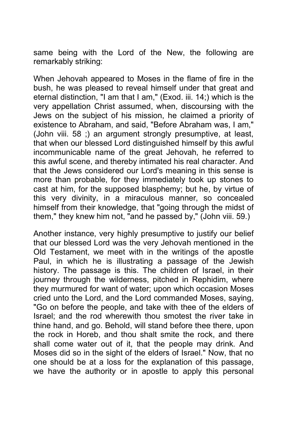same being with the Lord of the New, the following are remarkably striking:

When Jehovah appeared to Moses in the flame of fire in the bush, he was pleased to reveal himself under that great and eternal distinction, "I am that I am," (Exod. iii. 14;) which is the very appellation Christ assumed, when, discoursing with the Jews on the subject of his mission, he claimed a priority of existence to Abraham, and said, "Before Abraham was, I am," (John viii. 58 ;) an argument strongly presumptive, at least, that when our blessed Lord distinguished himself by this awful incommunicable name of the great Jehovah, he referred to this awful scene, and thereby intimated his real character. And that the Jews considered our Lord's meaning in this sense is more than probable, for they immediately took up stones to cast at him, for the supposed blasphemy; but he, by virtue of this very divinity, in a miraculous manner, so concealed himself from their knowledge, that "going through the midst of them," they knew him not, "and he passed by," (John viii. 59.)

Another instance, very highly presumptive to justify our belief that our blessed Lord was the very Jehovah mentioned in the Old Testament, we meet with in the writings of the apostle Paul, in which he is illustrating a passage of the Jewish history. The passage is this. The children of Israel, in their journey through the wilderness, pitched in Rephidim, where they murmured for want of water; upon which occasion Moses cried unto the Lord, and the Lord commanded Moses, saying, "Go on before the people, and take with thee of the elders of Israel; and the rod wherewith thou smotest the river take in thine hand, and go. Behold, will stand before thee there, upon the rock in Horeb, and thou shalt smite the rock, and there shall come water out of it, that the people may drink. And Moses did so in the sight of the elders of Israel." Now, that no one should be at a loss for the explanation of this passage, we have the authority or in apostle to apply this personal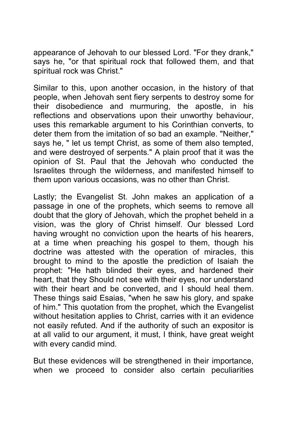appearance of Jehovah to our blessed Lord. "For they drank," says he, "or that spiritual rock that followed them, and that spiritual rock was Christ."

Similar to this, upon another occasion, in the history of that people, when Jehovah sent fiery serpents to destroy some for their disobedience and murmuring, the apostle, in his reflections and observations upon their unworthy behaviour, uses this remarkable argument to his Corinthian converts, to deter them from the imitation of so bad an example. "Neither," says he, " let us tempt Christ, as some of them also tempted, and were destroyed of serpents." A plain proof that it was the opinion of St. Paul that the Jehovah who conducted the Israelites through the wilderness, and manifested himself to them upon various occasions, was no other than Christ.

Lastly; the Evangelist St. John makes an application of a passage in one of the prophets, which seems to remove all doubt that the glory of Jehovah, which the prophet beheld in a vision, was the glory of Christ himself. Our blessed Lord having wrought no conviction upon the hearts of his hearers, at a time when preaching his gospel to them, though his doctrine was attested with the operation of miracles, this brought to mind to the apostle the prediction of Isaiah the prophet: "He hath blinded their eyes, and hardened their heart, that they Should not see with their eyes, nor understand with their heart and be converted, and I should heal them. These things said Esaias, "when he saw his glory, and spake of him." This quotation from the prophet, which the Evangelist without hesitation applies to Christ, carries with it an evidence not easily refuted. And if the authority of such an expositor is at all valid to our argument, it must, I think, have great weight with every candid mind.

But these evidences will be strengthened in their importance, when we proceed to consider also certain peculiarities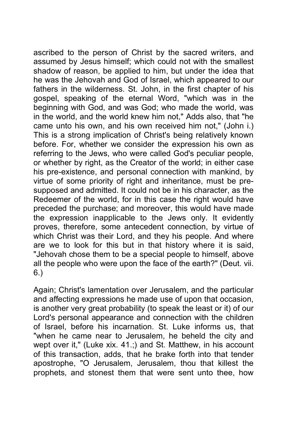ascribed to the person of Christ by the sacred writers, and assumed by Jesus himself; which could not with the smallest shadow of reason, be applied to him, but under the idea that he was the Jehovah and God of Israel, which appeared to our fathers in the wilderness. St. John, in the first chapter of his gospel, speaking of the eternal Word, "which was in the beginning with God, and was God; who made the world, was in the world, and the world knew him not," Adds also, that "he came unto his own, and his own received him not," (John i.) This is a strong implication of Christ's being relatively known before. For, whether we consider the expression his own as referring to the Jews, who were called God's peculiar people, or whether by right, as the Creator of the world; in either case his pre-existence, and personal connection with mankind, by virtue of some priority of right and inheritance, must be presupposed and admitted. It could not be in his character, as the Redeemer of the world, for in this case the right would have preceded the purchase; and moreover, this would have made the expression inapplicable to the Jews only. It evidently proves, therefore, some antecedent connection, by virtue of which Christ was their Lord, and they his people. And where are we to look for this but in that history where it is said, "Jehovah chose them to be a special people to himself, above all the people who were upon the face of the earth?" (Deut. vii. 6.)

Again; Christ's lamentation over Jerusalem, and the particular and affecting expressions he made use of upon that occasion, is another very great probability (to speak the least or it) of our Lord's personal appearance and connection with the children of Israel, before his incarnation. St. Luke informs us, that "when he came near to Jerusalem, he beheld the city and wept over it," (Luke xix. 41.;) and St. Matthew, in his account of this transaction, adds, that he brake forth into that tender apostrophe, "O Jerusalem, Jerusalem, thou that killest the prophets, and stonest them that were sent unto thee, how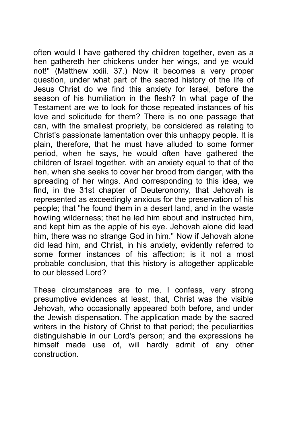often would I have gathered thy children together, even as a hen gathereth her chickens under her wings, and ye would not!" (Matthew xxiii. 37.) Now it becomes a very proper question, under what part of the sacred history of the life of Jesus Christ do we find this anxiety for Israel, before the season of his humiliation in the flesh? In what page of the Testament are we to look for those repeated instances of his love and solicitude for them? There is no one passage that can, with the smallest propriety, be considered as relating to Christ's passionate lamentation over this unhappy people. It is plain, therefore, that he must have alluded to some former period, when he says, he would often have gathered the children of Israel together, with an anxiety equal to that of the hen, when she seeks to cover her brood from danger, with the spreading of her wings. And corresponding to this idea, we find, in the 31st chapter of Deuteronomy, that Jehovah is represented as exceedingly anxious for the preservation of his people; that "he found them in a desert land, and in the waste howling wilderness; that he led him about and instructed him, and kept him as the apple of his eye. Jehovah alone did lead him, there was no strange God in him." Now if Jehovah alone did lead him, and Christ, in his anxiety, evidently referred to some former instances of his affection; is it not a most probable conclusion, that this history is altogether applicable to our blessed Lord?

These circumstances are to me, I confess, very strong presumptive evidences at least, that, Christ was the visible Jehovah, who occasionally appeared both before, and under the Jewish dispensation. The application made by the sacred writers in the history of Christ to that period; the peculiarities distinguishable in our Lord's person; and the expressions he himself made use of, will hardly admit of any other construction.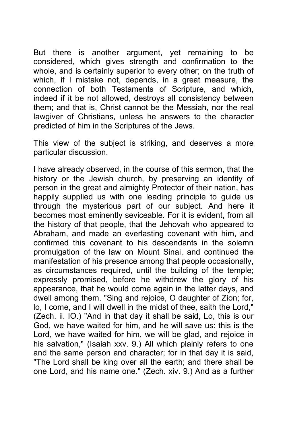But there is another argument, yet remaining to be considered, which gives strength and confirmation to the whole, and is certainly superior to every other; on the truth of which, if I mistake not, depends, in a great measure, the connection of both Testaments of Scripture, and which, indeed if it be not allowed, destroys all consistency between them; and that is, Christ cannot be the Messiah, nor the real lawgiver of Christians, unless he answers to the character predicted of him in the Scriptures of the Jews.

This view of the subject is striking, and deserves a more particular discussion.

I have already observed, in the course of this sermon, that the history or the Jewish church, by preserving an identity of person in the great and almighty Protector of their nation, has happily supplied us with one leading principle to guide us through the mysterious part of our subject. And here it becomes most eminently seviceable. For it is evident, from all the history of that people, that the Jehovah who appeared to Abraham, and made an everlasting covenant with him, and confirmed this covenant to his descendants in the solemn promulgation of the law on Mount Sinai, and continued the manifestation of his presence among that people occasionally, as circumstances required, until the building of the temple; expressly promised, before he withdrew the glory of his appearance, that he would come again in the latter days, and dwell among them. "Sing and rejoice, O daughter of Zion; for, lo, I come, and I will dwell in the midst of thee, saith the Lord," (Zech. ii. IO.) "And in that day it shall be said, Lo, this is our God, we have waited for him, and he will save us: this is the Lord, we have waited for him, we will be glad, and rejoice in his salvation," (Isaiah xxv. 9.) All which plainly refers to one and the same person and character; for in that day it is said, "The Lord shall be king over all the earth; and there shall be one Lord, and his name one." (Zech. xiv. 9.) And as a further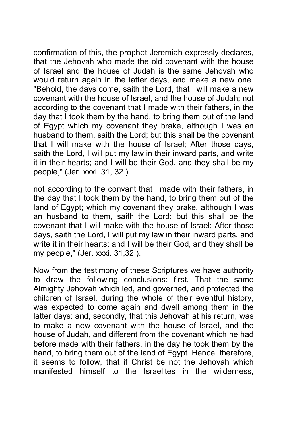confirmation of this, the prophet Jeremiah expressly declares, that the Jehovah who made the old covenant with the house of Israel and the house of Judah is the same Jehovah who would return again in the latter days, and make a new one. "Behold, the days come, saith the Lord, that I will make a new covenant with the house of Israel, and the house of Judah; not according to the covenant that I made with their fathers, in the day that I took them by the hand, to bring them out of the land of Egypt which my covenant they brake, although I was an husband to them, saith the Lord; but this shall be the covenant that I will make with the house of Israel; After those days, saith the Lord, I will put my law in their inward parts, and write it in their hearts; and I will be their God, and they shall be my people," (Jer. xxxi. 31, 32.)

not according to the convant that I made with their fathers, in the day that I took them by the hand, to bring them out of the land of Egypt; which my covenant they brake, although I was an husband to them, saith the Lord; but this shall be the covenant that I will make with the house of Israel; After those days, saith the Lord, I will put my law in their inward parts, and write it in their hearts; and I will be their God, and they shall be my people," (Jer. xxxi. 31,32.).

Now from the testimony of these Scriptures we have authority to draw the following conclusions: first, That the same Almighty Jehovah which led, and governed, and protected the children of Israel, during the whole of their eventful history, was expected to come again and dwell among them in the latter days: and, secondly, that this Jehovah at his return, was to make a new covenant with the house of Israel, and the house of Judah, and different from the covenant which he had before made with their fathers, in the day he took them by the hand, to bring them out of the land of Egypt. Hence, therefore, it seems to follow, that if Christ be not the Jehovah which manifested himself to the Israelites in the wilderness,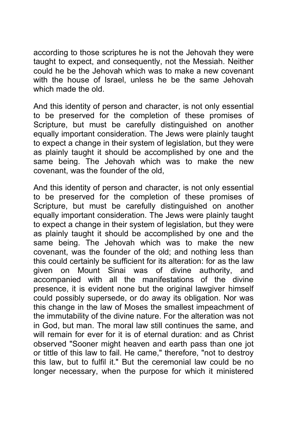according to those scriptures he is not the Jehovah they were taught to expect, and consequently, not the Messiah. Neither could he be the Jehovah which was to make a new covenant with the house of Israel, unless he be the same Jehovah which made the old.

And this identity of person and character, is not only essential to be preserved for the completion of these promises of Scripture, but must be carefully distinguished on another equally important consideration. The Jews were plainly taught to expect a change in their system of legislation, but they were as plainly taught it should be accomplished by one and the same being. The Jehovah which was to make the new covenant, was the founder of the old,

And this identity of person and character, is not only essential to be preserved for the completion of these promises of Scripture, but must be carefully distinguished on another equally important consideration. The Jews were plainly taught to expect a change in their system of legislation, but they were as plainly taught it should be accomplished by one and the same being. The Jehovah which was to make the new covenant, was the founder of the old; and nothing less than this could certainly be sufficient for its alteration: for as the law given on Mount Sinai was of divine authority, and accompanied with all the manifestations of the divine presence, it is evident none but the original lawgiver himself could possibly supersede, or do away its obligation. Nor was this change in the law of Moses the smallest impeachment of the immutability of the divine nature. For the alteration was not in God, but man. The moral law still continues the same, and will remain for ever for it is of eternal duration: and as Christ observed "Sooner might heaven and earth pass than one jot or tittle of this law to fail. He came," therefore, "not to destroy this law, but to fulfil it." But the ceremonial law could be no longer necessary, when the purpose for which it ministered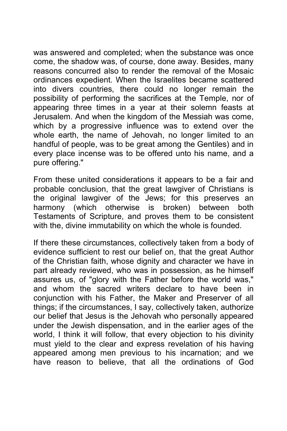was answered and completed; when the substance was once come, the shadow was, of course, done away. Besides, many reasons concurred also to render the removal of the Mosaic ordinances expedient. When the Israelites became scattered into divers countries, there could no longer remain the possibility of performing the sacrifices at the Temple, nor of appearing three times in a year at their solemn feasts at Jerusalem. And when the kingdom of the Messiah was come, which by a progressive influence was to extend over the whole earth, the name of Jehovah, no longer limited to an handful of people, was to be great among the Gentiles) and in every place incense was to be offered unto his name, and a pure offering."

From these united considerations it appears to be a fair and probable conclusion, that the great lawgiver of Christians is the original lawgiver of the Jews; for this preserves an harmony (which otherwise is broken) between both Testaments of Scripture, and proves them to be consistent with the, divine immutability on which the whole is founded.

If there these circumstances, collectively taken from a body of evidence sufficient to rest our belief on, that the great Author of the Christian faith, whose dignity and character we have in part already reviewed, who was in possession, as he himself assures us, of "glory with the Father before the world was," and whom the sacred writers declare to have been in conjunction with his Father, the Maker and Preserver of all things; if the circumstances, I say, collectively taken, authorize our belief that Jesus is the Jehovah who personally appeared under the Jewish dispensation, and in the earlier ages of the world, I think it will follow, that every objection to his divinity must yield to the clear and express revelation of his having appeared among men previous to his incarnation; and we have reason to believe, that all the ordinations of God